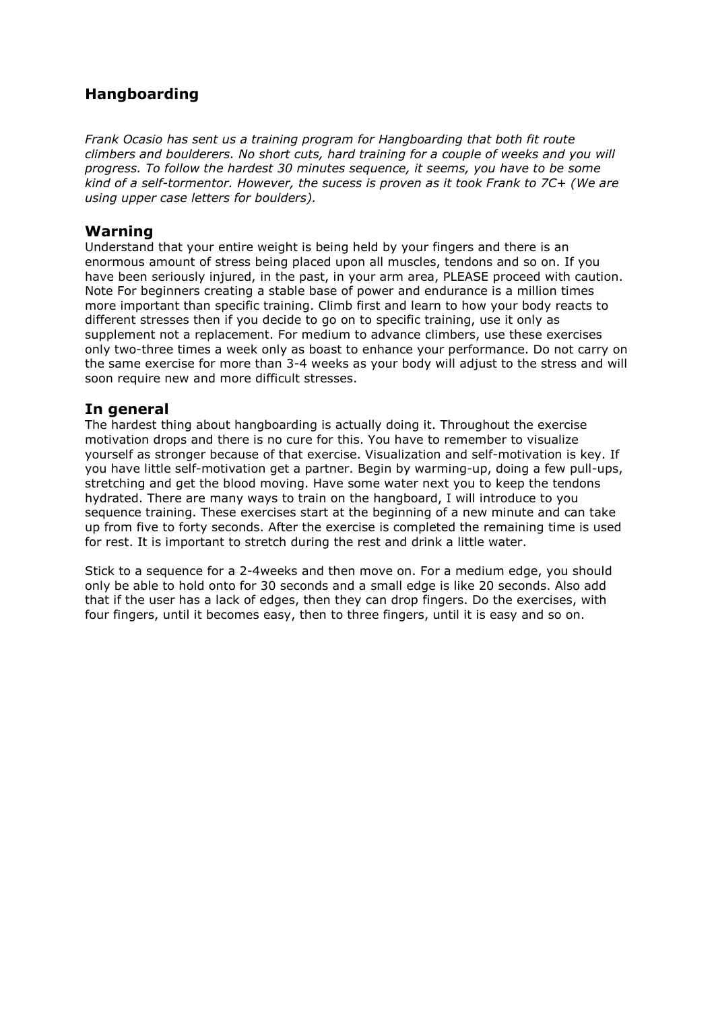## **Hangboarding**

*Frank Ocasio has sent us a training program for Hangboarding that both fit route climbers and boulderers. No short cuts, hard training for a couple of weeks and you will progress. To follow the hardest 30 minutes sequence, it seems, you have to be some kind of a self-tormentor. However, the sucess is proven as it took Frank to 7C+ (We are using upper case letters for boulders).*

#### **Warning**

Understand that your entire weight is being held by your fingers and there is an enormous amount of stress being placed upon all muscles, tendons and so on. If you have been seriously injured, in the past, in your arm area, PLEASE proceed with caution. Note For beginners creating a stable base of power and endurance is a million times more important than specific training. Climb first and learn to how your body reacts to different stresses then if you decide to go on to specific training, use it only as supplement not a replacement. For medium to advance climbers, use these exercises only two-three times a week only as boast to enhance your performance. Do not carry on the same exercise for more than 3-4 weeks as your body will adjust to the stress and will soon require new and more difficult stresses.

#### **In general**

The hardest thing about hangboarding is actually doing it. Throughout the exercise motivation drops and there is no cure for this. You have to remember to visualize yourself as stronger because of that exercise. Visualization and self-motivation is key. If you have little self-motivation get a partner. Begin by warming-up, doing a few pull-ups, stretching and get the blood moving. Have some water next you to keep the tendons hydrated. There are many ways to train on the hangboard, I will introduce to you sequence training. These exercises start at the beginning of a new minute and can take up from five to forty seconds. After the exercise is completed the remaining time is used for rest. It is important to stretch during the rest and drink a little water.

Stick to a sequence for a 2-4weeks and then move on. For a medium edge, you should only be able to hold onto for 30 seconds and a small edge is like 20 seconds. Also add that if the user has a lack of edges, then they can drop fingers. Do the exercises, with four fingers, until it becomes easy, then to three fingers, until it is easy and so on.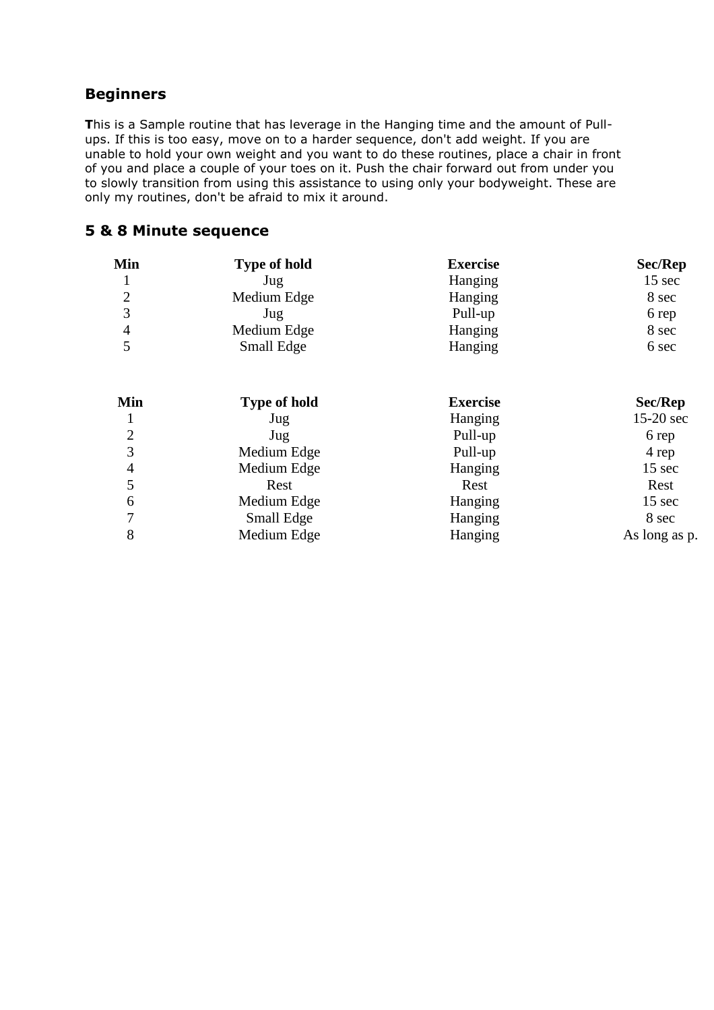## **Beginners**

**T**his is a Sample routine that has leverage in the Hanging time and the amount of Pullups. If this is too easy, move on to a harder sequence, don't add weight. If you are unable to hold your own weight and you want to do these routines, place a chair in front of you and place a couple of your toes on it. Push the chair forward out from under you to slowly transition from using this assistance to using only your bodyweight. These are only my routines, don't be afraid to mix it around.

#### **5 & 8 Minute sequence**

| Min            | <b>Type of hold</b> | <b>Exercise</b> | Sec/Rep       |
|----------------|---------------------|-----------------|---------------|
|                | Jug                 | Hanging         | 15 sec        |
| $\overline{2}$ | Medium Edge         | Hanging         | 8 sec         |
| 3              | Jug                 | Pull-up         | 6 rep         |
| $\overline{4}$ | Medium Edge         | Hanging         | 8 sec         |
| 5              | Small Edge          | Hanging         | 6 sec         |
| Min            | <b>Type of hold</b> | <b>Exercise</b> | Sec/Rep       |
| 1              | Jug                 | Hanging         | 15-20 sec     |
| $\overline{2}$ | Jug                 | Pull-up         | 6 rep         |
| 3              | Medium Edge         | Pull-up         | 4 rep         |
| $\overline{4}$ | Medium Edge         | Hanging         | 15 sec        |
| 5              | Rest                | Rest            | Rest          |
| 6              | Medium Edge         | Hanging         | 15 sec        |
| 7              | Small Edge          | Hanging         | 8 sec         |
| 8              | Medium Edge         | Hanging         | As long as p. |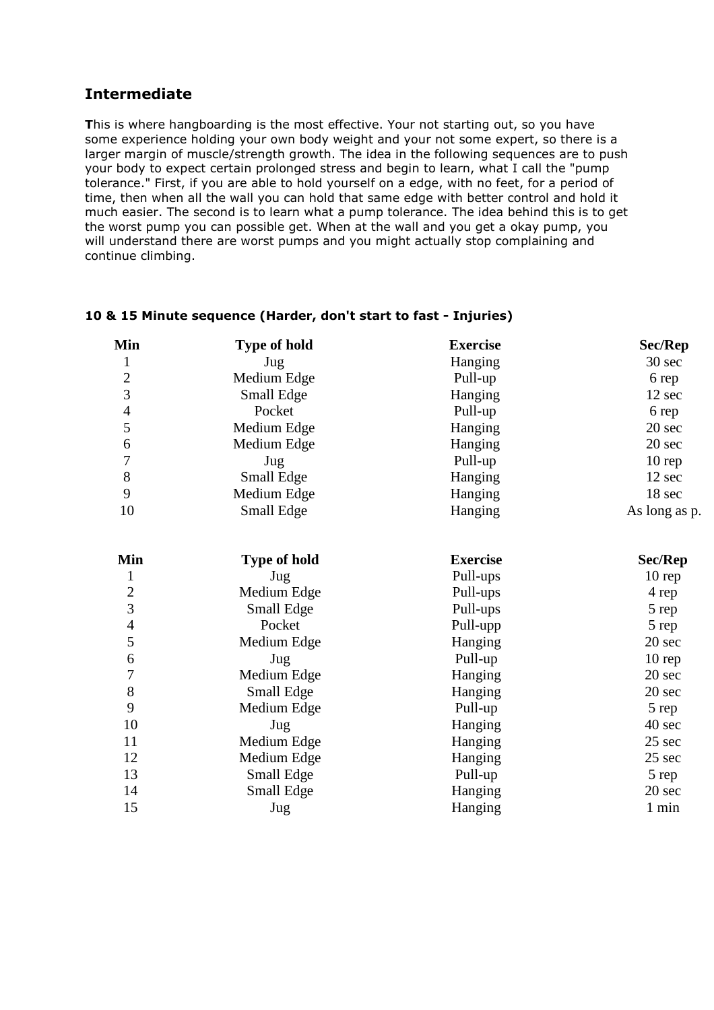## **Intermediate**

**T**his is where hangboarding is the most effective. Your not starting out, so you have some experience holding your own body weight and your not some expert, so there is a larger margin of muscle/strength growth. The idea in the following sequences are to push your body to expect certain prolonged stress and begin to learn, what I call the "pump tolerance." First, if you are able to hold yourself on a edge, with no feet, for a period of time, then when all the wall you can hold that same edge with better control and hold it much easier. The second is to learn what a pump tolerance. The idea behind this is to get the worst pump you can possible get. When at the wall and you get a okay pump, you will understand there are worst pumps and you might actually stop complaining and continue climbing.

| Min            | <b>Type of hold</b> | <b>Exercise</b> | <b>Sec/Rep</b> |
|----------------|---------------------|-----------------|----------------|
| $\mathbf{1}$   | Jug                 | Hanging         | 30 sec         |
| $\overline{c}$ | Medium Edge         | Pull-up         | 6 rep          |
| $\overline{3}$ | Small Edge          | Hanging         | 12 sec         |
| $\overline{4}$ | Pocket              | Pull-up         | 6 rep          |
| 5              | Medium Edge         | Hanging         | 20 sec         |
| 6              | Medium Edge         | Hanging         | 20 sec         |
| 7              | Jug                 | Pull-up         | $10$ rep       |
| $8\,$          | Small Edge          | Hanging         | 12 sec         |
| 9              | Medium Edge         | Hanging         | 18 sec         |
| 10             | Small Edge          | Hanging         | As long as p.  |
| Min            | <b>Type of hold</b> | <b>Exercise</b> | Sec/Rep        |
| 1              | Jug                 | Pull-ups        | 10 rep         |
| $\overline{2}$ | Medium Edge         | Pull-ups        | 4 rep          |
| $\overline{3}$ | Small Edge          | Pull-ups        | 5 rep          |
| $\overline{4}$ | Pocket              | Pull-upp        | 5 rep          |
| 5              | Medium Edge         | Hanging         | 20 sec         |
| 6              | Jug                 | Pull-up         | 10 rep         |
| $\overline{7}$ | Medium Edge         | Hanging         | 20 sec         |
| 8              | Small Edge          | Hanging         | 20 sec         |
| 9              | Medium Edge         | Pull-up         | 5 rep          |
| 10             | Jug                 | Hanging         | 40 sec         |
| 11             | Medium Edge         | Hanging         | 25 sec         |
| 12             | Medium Edge         | Hanging         | 25 sec         |
| 13             | Small Edge          | Pull-up         | 5 rep          |
| 14             | Small Edge          | Hanging         | 20 sec         |
| 15             | Jug                 | Hanging         | 1 min          |

#### **10 & 15 Minute sequence (Harder, don't start to fast - Injuries)**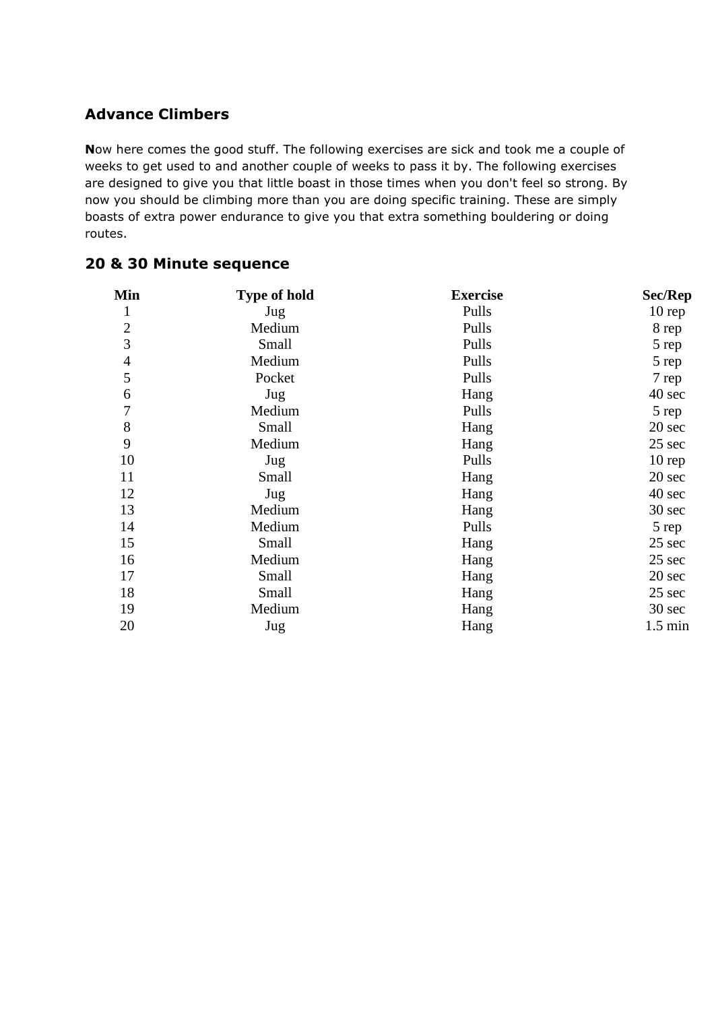# **Advance Climbers**

**N**ow here comes the good stuff. The following exercises are sick and took me a couple of weeks to get used to and another couple of weeks to pass it by. The following exercises are designed to give you that little boast in those times when you don't feel so strong. By now you should be climbing more than you are doing specific training. These are simply boasts of extra power endurance to give you that extra something bouldering or doing routes.

| Min            | <b>Type of hold</b> | <b>Exercise</b> | Sec/Rep           |
|----------------|---------------------|-----------------|-------------------|
| $\mathbf{1}$   | Jug                 | Pulls           | $10$ rep          |
| $\overline{2}$ | Medium              | Pulls           | 8 rep             |
| 3              | Small               | Pulls           | 5 rep             |
| $\overline{4}$ | Medium              | Pulls           | 5 rep             |
| 5              | Pocket              | Pulls           | 7 rep             |
| 6              | Jug                 | Hang            | 40 sec            |
| $\overline{7}$ | Medium              | Pulls           | 5 rep             |
| $\,8\,$        | Small               | Hang            | 20 sec            |
| 9              | Medium              | Hang            | 25 sec            |
| 10             | Jug                 | Pulls           | $10$ rep          |
| 11             | Small               | Hang            | 20 sec            |
| 12             | Jug                 | Hang            | 40 sec            |
| 13             | Medium              | Hang            | 30 sec            |
| 14             | Medium              | Pulls           | 5 rep             |
| 15             | Small               | Hang            | 25 sec            |
| 16             | Medium              | Hang            | 25 sec            |
| 17             | Small               | Hang            | 20 sec            |
| 18             | Small               | Hang            | 25 sec            |
| 19             | Medium              | Hang            | 30 sec            |
| 20             | Jug                 | Hang            | $1.5 \text{ min}$ |

### **20 & 30 Minute sequence**